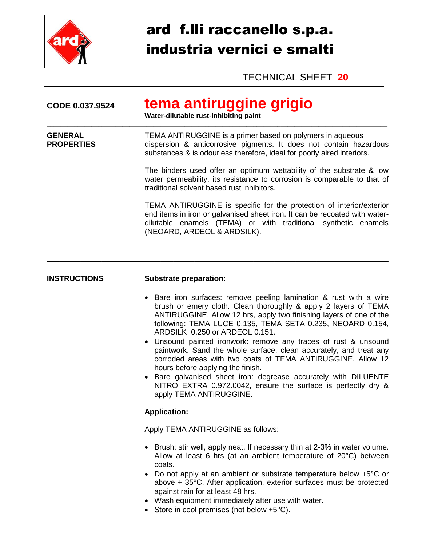

## ard f.lli raccanello s.p.a. industria vernici e smalti

TECHNICAL SHEET **20**

| CODE 0.037.9524                     | tema antiruggine grigio<br>Water-dilutable rust-inhibiting paint                                                                                                                                                                                                                                                                                                                                                                                                                                                                                                                                                                                                                                                     |  |  |
|-------------------------------------|----------------------------------------------------------------------------------------------------------------------------------------------------------------------------------------------------------------------------------------------------------------------------------------------------------------------------------------------------------------------------------------------------------------------------------------------------------------------------------------------------------------------------------------------------------------------------------------------------------------------------------------------------------------------------------------------------------------------|--|--|
| <b>GENERAL</b><br><b>PROPERTIES</b> | TEMA ANTIRUGGINE is a primer based on polymers in aqueous<br>dispersion & anticorrosive pigments. It does not contain hazardous<br>substances & is odourless therefore, ideal for poorly aired interiors.                                                                                                                                                                                                                                                                                                                                                                                                                                                                                                            |  |  |
|                                     | The binders used offer an optimum wettability of the substrate & low<br>water permeability, its resistance to corrosion is comparable to that of<br>traditional solvent based rust inhibitors.                                                                                                                                                                                                                                                                                                                                                                                                                                                                                                                       |  |  |
|                                     | TEMA ANTIRUGGINE is specific for the protection of interior/exterior<br>end items in iron or galvanised sheet iron. It can be recoated with water-<br>dilutable enamels (TEMA) or with traditional synthetic enamels<br>(NEOARD, ARDEOL & ARDSILK).                                                                                                                                                                                                                                                                                                                                                                                                                                                                  |  |  |
|                                     |                                                                                                                                                                                                                                                                                                                                                                                                                                                                                                                                                                                                                                                                                                                      |  |  |
| <b>INSTRUCTIONS</b>                 | <b>Substrate preparation:</b>                                                                                                                                                                                                                                                                                                                                                                                                                                                                                                                                                                                                                                                                                        |  |  |
|                                     | • Bare iron surfaces: remove peeling lamination & rust with a wire<br>brush or emery cloth. Clean thoroughly & apply 2 layers of TEMA<br>ANTIRUGGINE. Allow 12 hrs, apply two finishing layers of one of the<br>following: TEMA LUCE 0.135, TEMA SETA 0.235, NEOARD 0.154,<br>ARDSILK 0.250 or ARDEOL 0.151.<br>Unsound painted ironwork: remove any traces of rust & unsound<br>paintwork. Sand the whole surface, clean accurately, and treat any<br>corroded areas with two coats of TEMA ANTIRUGGINE. Allow 12<br>hours before applying the finish.<br>Bare galvanised sheet iron: degrease accurately with DILUENTE<br>NITRO EXTRA 0.972.0042, ensure the surface is perfectly dry &<br>apply TEMA ANTIRUGGINE. |  |  |
|                                     | <b>Application:</b>                                                                                                                                                                                                                                                                                                                                                                                                                                                                                                                                                                                                                                                                                                  |  |  |
|                                     | Apply TEMA ANTIRUGGINE as follows:                                                                                                                                                                                                                                                                                                                                                                                                                                                                                                                                                                                                                                                                                   |  |  |
|                                     | Brush: stir well, apply neat. If necessary thin at 2-3% in water volume.<br>Allow at least 6 hrs (at an ambient temperature of $20^{\circ}$ C) between<br>coats.<br>Do not apply at an ambient or substrate temperature below +5 <sup>o</sup> C or<br>above + 35°C. After application, exterior surfaces must be protected<br>against rain for at least 48 hrs.<br>Wash equipment immediately after use with water.                                                                                                                                                                                                                                                                                                  |  |  |

• Store in cool premises (not below  $+5^{\circ}C$ ).